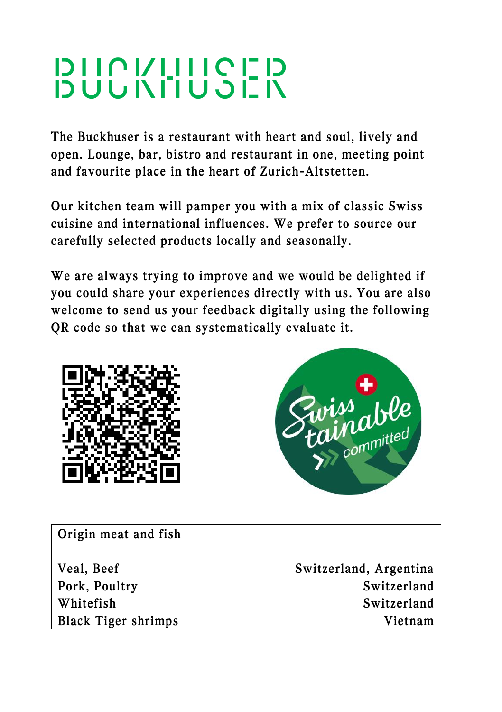## **buckluser**

The Buckhuser is a restaurant with heart and soul, lively and open. Lounge, bar, bistro and restaurant in one, meeting point and favourite place in the heart of Zurich-Altstetten.

Our kitchen team will pamper you with a mix of classic Swiss cuisine and international influences. We prefer to source our carefully selected products locally and seasonally.

We are always trying to improve and we would be delighted if you could share your experiences directly with us. You are also welcome to send us your feedback digitally using the following QR code so that we can systematically evaluate it.





Origin meat and fish

Veal, Beef Switzerland, Argentina Pork, Poultry Switzerland Whitefish Switzerland Black Tiger shrimps Vietnam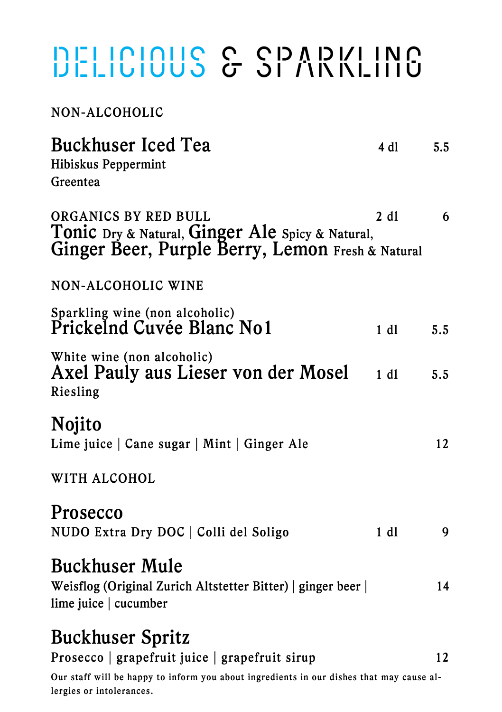### Delicious & sparkling

NON-ALCOHOLIC

| <b>Buckhuser Iced Tea</b><br>Hibiskus Peppermint<br>Greentea                                                                 | 4 dl | 5.5 |
|------------------------------------------------------------------------------------------------------------------------------|------|-----|
| ORGANICS BY RED BULL<br>Tonic Dry & Natural, Ginger Ale Spicy & Natural,<br>Ginger Beer, Purple Berry, Lemon Fresh & Natural | 2 d1 | 6   |
| NON-ALCOHOLIC WINE                                                                                                           |      |     |
| Sparkling wine (non alcoholic)<br>Prickelnd Cuvée Blanc No1                                                                  | 1 d1 | 5.5 |
| White wine (non alcoholic)<br>Axel Pauly aus Lieser von der Mosel<br>Riesling                                                | 1 d1 | 5.5 |
| <b>Nojito</b><br>Lime juice   Cane sugar   Mint   Ginger Ale                                                                 |      | 12  |
| WITH ALCOHOL                                                                                                                 |      |     |
| Prosecco<br>NUDO Extra Dry DOC   Colli del Soligo                                                                            | 1 d1 | 9   |
| <b>Buckhuser Mule</b><br>Weisflog (Original Zurich Altstetter Bitter)   ginger beer  <br>lime juice   cucumber               |      | 14  |
| <b>Buckhuser Spritz</b><br>Prosecco   grapefruit juice   grapefruit sirup                                                    |      | 12  |

Our staff will be happy to inform you about ingredients in our dishes that may cause allergies or intolerances.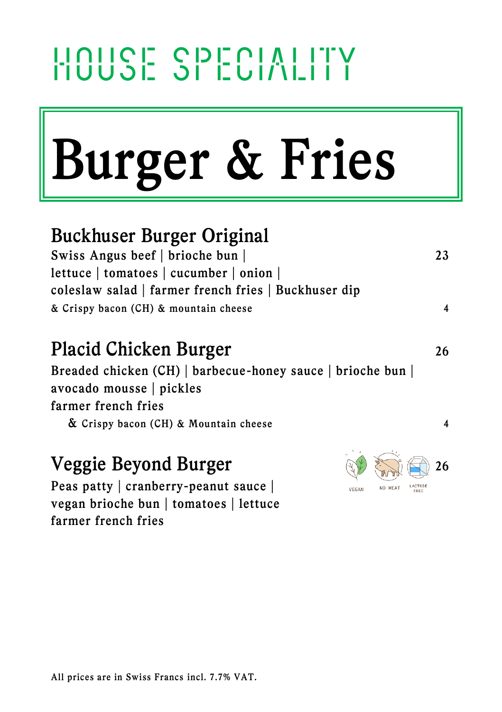### House speciality

# Burger & Fries

### Buckhuser Burger Original

| Swiss Angus beef   brioche bun                       | 23 |
|------------------------------------------------------|----|
| lettuce   tomatoes   cucumber   onion                |    |
| coleslaw salad   farmer french fries   Buckhuser dip |    |
| & Crispy bacon (CH) & mountain cheese                |    |

### Placid Chicken Burger 26

Breaded chicken (CH) | barbecue-honey sauce | brioche bun | avocado mousse | pickles farmer french fries & Crispy bacon (CH) & Mountain cheese 4

Peas patty | cranberry-peanut sauce | vegan brioche bun | tomatoes | lettuce farmer french fries



### Veggie Beyond Burger 26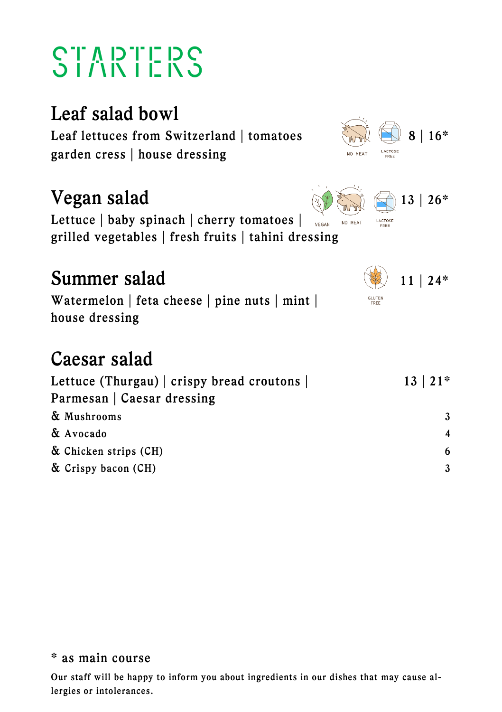### SUTITUS<br>SUTITUS

### Leaf salad bowl

Leaf lettuces from Switzerland | tomatoes 8 | 16\* garden cress | house dressing

Lettuce | baby spinach | cherry tomatoes | grilled vegetables | fresh fruits | tahini dressing

### Summer salad  $\left(\frac{1}{24}\right)$   $11 \mid 24^*$

Watermelon | feta cheese | pine nuts | mint | house dressing

### Caesar salad

| Lettuce (Thurgau) $ $ crispy bread croutons $ $ | $13 \mid 21*$ |
|-------------------------------------------------|---------------|
| Parmesan   Caesar dressing                      |               |
| & Mushrooms                                     | 3             |
| & Avocado                                       | 4             |
| & Chicken strips (CH)                           | 6             |
| & Crispy bacon (CH)                             | 3             |







#### \* as main course

Our staff will be happy to inform you about ingredients in our dishes that may cause allergies or intolerances.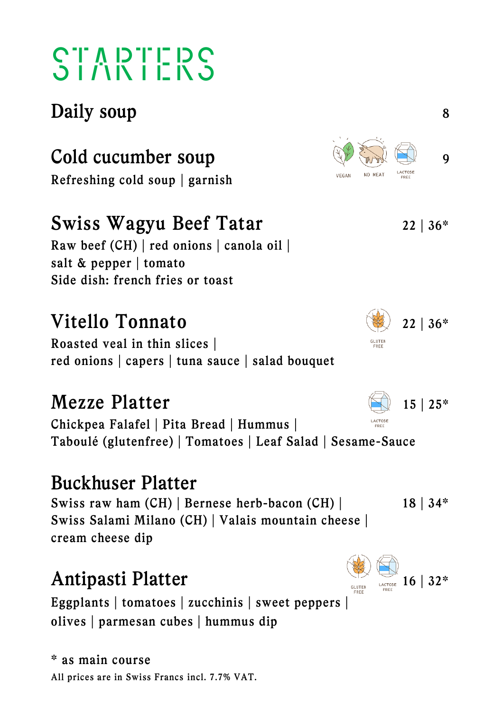### **SULTERS**

### Daily soup 8

### Cold cucumber soup  $\mathbb{S}^9$ Refreshing cold soup | garnish Swiss Wagyu Beef Tatar 22 | 36\* Raw beef (CH) | red onions | canola oil | salt & pepper | tomato Side dish: french fries or toast Vitello Tonnato  $\left(\frac{1}{22}\right)_{22|36^*}$ Roasted veal in thin slices | red onions | capers | tuna sauce | salad bouquet Mezze Platter  $\Box$  15 | 25\* Chickpea Falafel | Pita Bread | Hummus | Taboulé (glutenfree) | Tomatoes | Leaf Salad | Sesame-Sauce

### Buckhuser Platter

Swiss raw ham  $(CH)$  | Bernese herb-bacon  $(CH)$  | 18 | 34\* Swiss Salami Milano (CH) | Valais mountain cheese | cream cheese dip

### Antipasti Platter 216 | 32\*

Eggplants | tomatoes | zucchinis | sweet peppers | olives | parmesan cubes | hummus dip

#### All prices are in Swiss Francs incl. 7.7% VAT. \* as main course



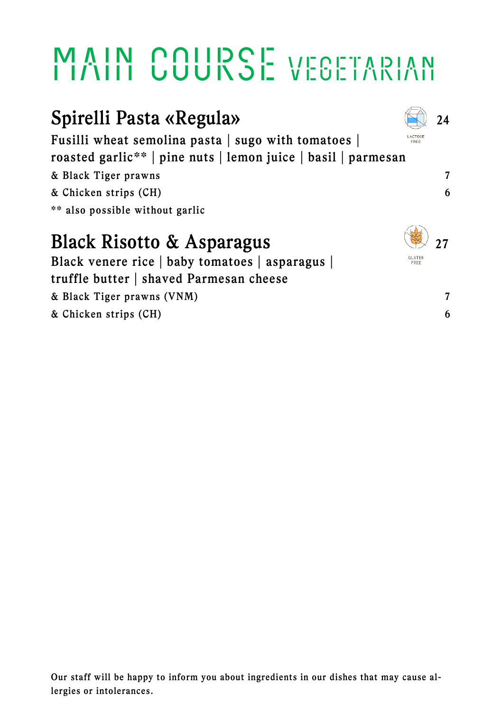### MAIN COURSE VEGETARIAN

| Spirelli Pasta «Regula»                                                                                                            |                       |   |
|------------------------------------------------------------------------------------------------------------------------------------|-----------------------|---|
| Fusilli wheat semolina pasta   sugo with tomatoes                                                                                  | ACTOSE                |   |
| roasted garlic**   pine nuts   lemon juice   basil   parmesan                                                                      |                       |   |
| & Black Tiger prawns                                                                                                               |                       | 7 |
| & Chicken strips (CH)                                                                                                              |                       | 6 |
| ** also possible without garlic                                                                                                    |                       |   |
| <b>Black Risotto &amp; Asparagus</b><br>Black venere rice   baby tomatoes   asparagus  <br>truffle butter   shaved Parmesan cheese | <b>SLUTEN</b><br>FREE |   |
| & Black Tiger prawns (VNM)                                                                                                         |                       | 7 |
| & Chicken strips (CH)                                                                                                              |                       | 6 |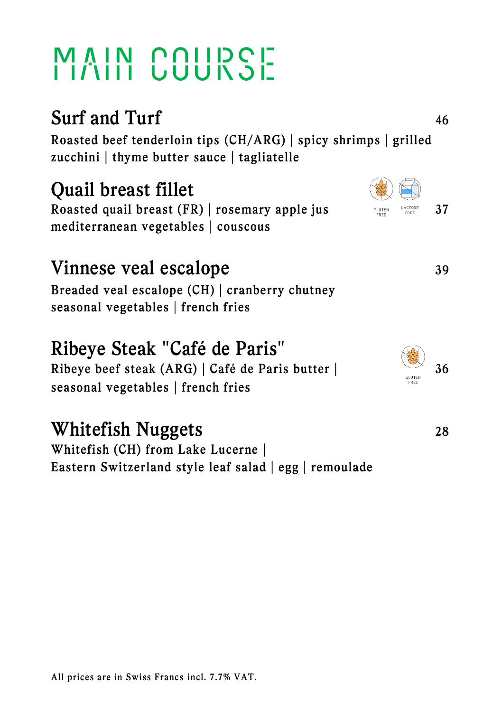### MAIN COUDSE

| <b>Surf and Turf</b>                                                                                           | 46 |
|----------------------------------------------------------------------------------------------------------------|----|
| Roasted beef tenderloin tips (CH/ARG)   spicy shrimps   grilled<br>zucchini   thyme butter sauce   tagliatelle |    |
| <b>Quail breast fillet</b>                                                                                     |    |
| Roasted quail breast $(FR)$ rosemary apple jus<br>mediterranean vegetables   couscous                          | 37 |
| Vinnese veal escalope                                                                                          | 39 |
| Breaded veal escalope (CH)   cranberry chutney<br>seasonal vegetables   french fries                           |    |
| Ribeye Steak "Café de Paris"                                                                                   |    |
| Ribeye beef steak (ARG)   Café de Paris butter                                                                 | 36 |
| seasonal vegetables   french fries                                                                             |    |
| Whitefish Nuggets                                                                                              | 28 |
| Whitefish (CH) from Lake Lucerne                                                                               |    |
| Eastern Switzerland style leaf salad   egg   remoulade                                                         |    |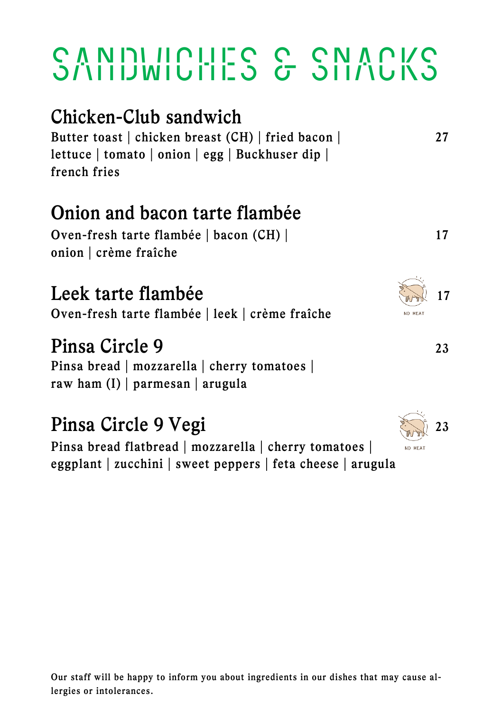### SANDUICHES & SNACKS

| 27     |
|--------|
|        |
|        |
|        |
| 17     |
|        |
| 17     |
| NO MEA |
| 23     |
|        |
|        |
| 23     |
|        |

Pinsa bread flatbread | mozzarella | cherry tomatoes | eggplant | zucchini | sweet peppers | feta cheese | arugula

NO MEAT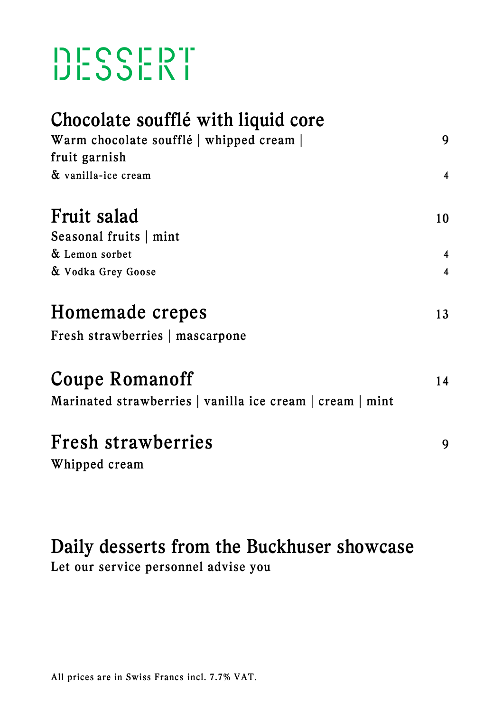### **TECCEPT**<br>DESSENT

| Chocolate soufflé with liquid core                        |                         |  |
|-----------------------------------------------------------|-------------------------|--|
| Warm chocolate soufflé   whipped cream                    | 9                       |  |
| fruit garnish                                             |                         |  |
| & vanilla-ice cream                                       | $\overline{\mathbf{4}}$ |  |
| Fruit salad                                               | 10                      |  |
| Seasonal fruits   mint                                    |                         |  |
| & Lemon sorbet                                            | $\overline{\mathbf{4}}$ |  |
| & Vodka Grey Goose                                        | $\overline{\mathbf{4}}$ |  |
| Homemade crepes                                           | 13                      |  |
| Fresh strawberries   mascarpone                           |                         |  |
| <b>Coupe Romanoff</b>                                     | 14                      |  |
| Marinated strawberries   vanilla ice cream   cream   mint |                         |  |
|                                                           |                         |  |
| <b>Fresh strawberries</b>                                 | 9                       |  |
| Whipped cream                                             |                         |  |
|                                                           |                         |  |

#### Daily desserts from the Buckhuser showcase Let our service personnel advise you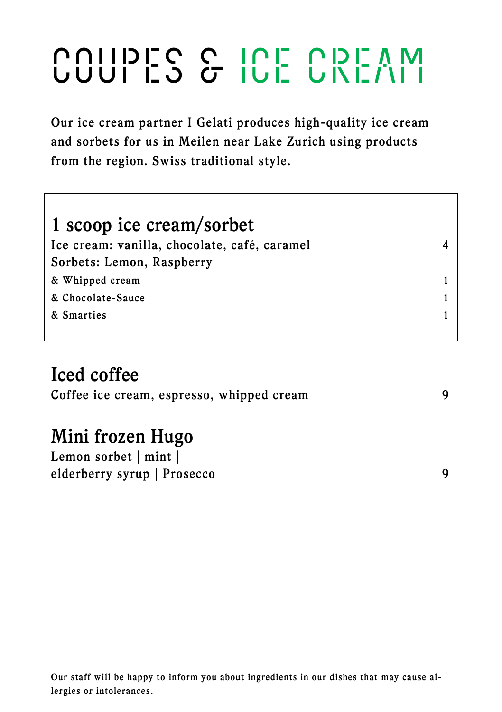### COUPES & ICE CREAM

Our ice cream partner I Gelati produces high-quality ice cream and sorbets for us in Meilen near Lake Zurich using products from the region. Swiss traditional style.

| 1 scoop ice cream/sorbet                     |  |
|----------------------------------------------|--|
| Ice cream: vanilla, chocolate, café, caramel |  |
| Sorbets: Lemon, Raspberry                    |  |
| & Whipped cream                              |  |
| & Chocolate-Sauce                            |  |
| & Smarties                                   |  |
|                                              |  |

#### Iced coffee

Coffee ice cream, espresso, whipped cream 9

### Mini frozen Hugo

Lemon sorbet | mint | elderberry syrup | Prosecco 9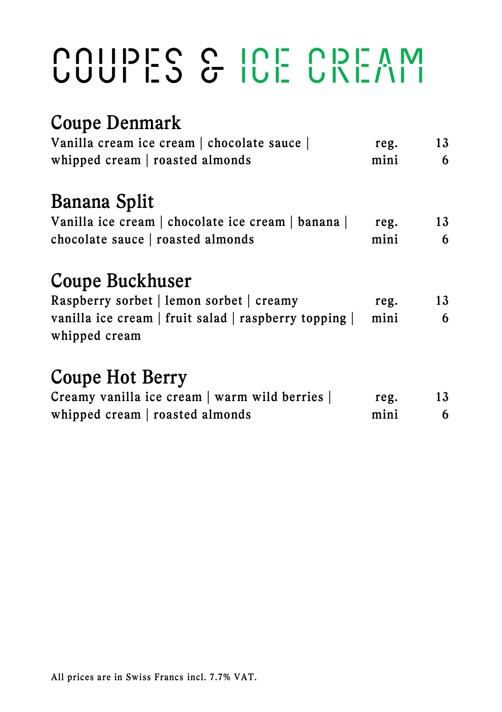## COUPES & ICE CREAM

### Coupe Denmark

| Vanilla cream ice cream   chocolate sauce | reg. | 13 |  |
|-------------------------------------------|------|----|--|
| whipped cream   roasted almonds           | mini |    |  |

#### Banana Split

| Vanilla ice cream   chocolate ice cream   banana | reg. | 13 |
|--------------------------------------------------|------|----|
| chocolate sauce $ $ roasted almonds              | mini |    |

#### Coupe Buckhuser

Raspberry sorbet | lemon sorbet | creamy reg. 13 vanilla ice cream | fruit salad | raspberry topping | mini 6 whipped cream

#### Coupe Hot Berry

| Creamy vanilla ice cream   warm wild berries | reg. | 13 |
|----------------------------------------------|------|----|
| whipped cream   roasted almonds              | mini |    |